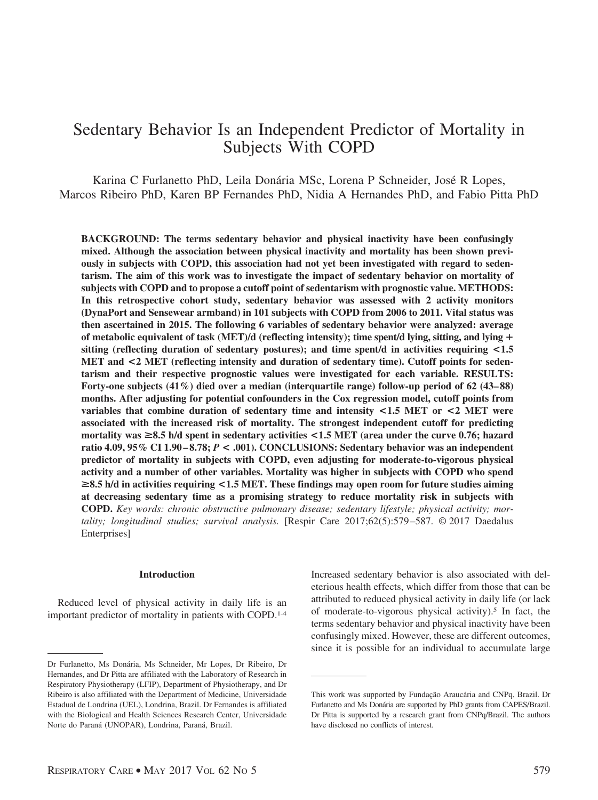# Sedentary Behavior Is an Independent Predictor of Mortality in Subjects With COPD

Karina C Furlanetto PhD, Leila Donária MSc, Lorena P Schneider, José R Lopes, Marcos Ribeiro PhD, Karen BP Fernandes PhD, Nidia A Hernandes PhD, and Fabio Pitta PhD

**BACKGROUND: The terms sedentary behavior and physical inactivity have been confusingly mixed. Although the association between physical inactivity and mortality has been shown previously in subjects with COPD, this association had not yet been investigated with regard to sedentarism. The aim of this work was to investigate the impact of sedentary behavior on mortality of subjects with COPD and to propose a cutoff point of sedentarism with prognostic value. METHODS: In this retrospective cohort study, sedentary behavior was assessed with 2 activity monitors (DynaPort and Sensewear armband) in 101 subjects with COPD from 2006 to 2011. Vital status was then ascertained in 2015. The following 6 variables of sedentary behavior were analyzed: average of metabolic equivalent of task (MET)/d (reflecting intensity); time spent/d lying, sitting, and lying sitting (reflecting duration of sedentary postures); and time spent/d in activities requiring <1.5 MET and <2 MET (reflecting intensity and duration of sedentary time). Cutoff points for sedentarism and their respective prognostic values were investigated for each variable. RESULTS:** Forty-one subjects (41%) died over a median (interquartile range) follow-up period of 62 (43–88) **months. After adjusting for potential confounders in the Cox regression model, cutoff points from variables that combine duration of sedentary time and intensity <1.5 MET or <2 MET were associated with the increased risk of mortality. The strongest independent cutoff for predicting mortality was** >**8.5 h/d spent in sedentary activities <1.5 MET (area under the curve 0.76; hazard ratio 4.09, 95% CI 1.90 – 8.78;** *P* **< .001). CONCLUSIONS: Sedentary behavior was an independent predictor of mortality in subjects with COPD, even adjusting for moderate-to-vigorous physical activity and a number of other variables. Mortality was higher in subjects with COPD who spend** >**8.5 h/d in activities requiring <1.5 MET. These findings may open room for future studies aiming at decreasing sedentary time as a promising strategy to reduce mortality risk in subjects with COPD.** *Key words: chronic obstructive pulmonary disease; sedentary lifestyle; physical activity; mortality; longitudinal studies; survival analysis.* [Respir Care 2017;62(5):579 –587. © 2017 Daedalus Enterprises]

# **Introduction**

Reduced level of physical activity in daily life is an important predictor of mortality in patients with COPD.1-4 Increased sedentary behavior is also associated with deleterious health effects, which differ from those that can be attributed to reduced physical activity in daily life (or lack of moderate-to-vigorous physical activity).5 In fact, the terms sedentary behavior and physical inactivity have been confusingly mixed. However, these are different outcomes, since it is possible for an individual to accumulate large

Dr Furlanetto, Ms Dona´ria, Ms Schneider, Mr Lopes, Dr Ribeiro, Dr Hernandes, and Dr Pitta are affiliated with the Laboratory of Research in Respiratory Physiotherapy (LFIP), Department of Physiotherapy, and Dr Ribeiro is also affiliated with the Department of Medicine, Universidade Estadual de Londrina (UEL), Londrina, Brazil. Dr Fernandes is affiliated with the Biological and Health Sciences Research Center, Universidade Norte do Paraná (UNOPAR), Londrina, Paraná, Brazil.

This work was supported by Fundação Araucária and CNPq, Brazil. Dr Furlanetto and Ms Donária are supported by PhD grants from CAPES/Brazil. Dr Pitta is supported by a research grant from CNPq/Brazil. The authors have disclosed no conflicts of interest.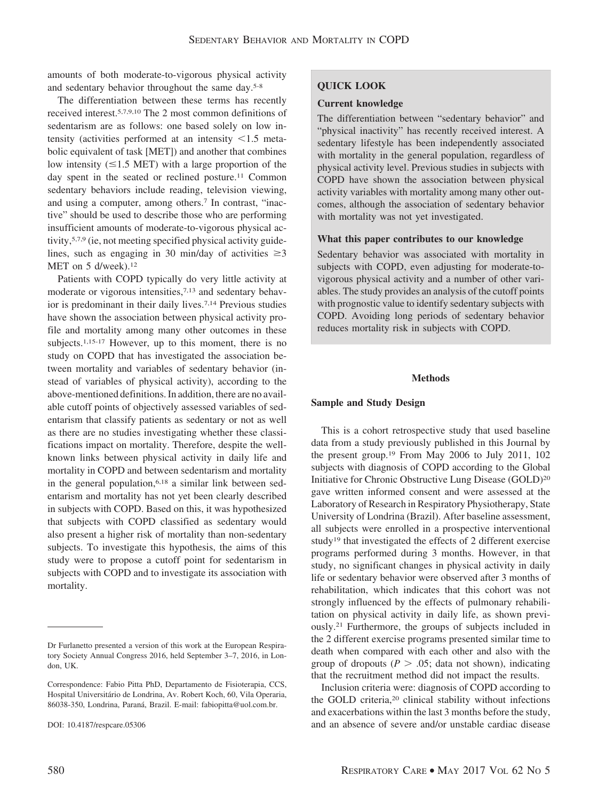amounts of both moderate-to-vigorous physical activity and sedentary behavior throughout the same day.5-8

The differentiation between these terms has recently received interest.5,7,9,10 The 2 most common definitions of sedentarism are as follows: one based solely on low intensity (activities performed at an intensity  $\leq 1.5$  metabolic equivalent of task [MET]) and another that combines low intensity  $(\leq 1.5 \text{ MET})$  with a large proportion of the day spent in the seated or reclined posture.<sup>11</sup> Common sedentary behaviors include reading, television viewing, and using a computer, among others.7 In contrast, "inactive" should be used to describe those who are performing insufficient amounts of moderate-to-vigorous physical activity,<sup>5,7,9</sup> (ie, not meeting specified physical activity guidelines, such as engaging in 30 min/day of activities  $\geq 3$ MET on 5 d/week).<sup>12</sup>

Patients with COPD typically do very little activity at moderate or vigorous intensities,<sup>7,13</sup> and sedentary behavior is predominant in their daily lives.7,14 Previous studies have shown the association between physical activity profile and mortality among many other outcomes in these subjects.<sup>1,15-17</sup> However, up to this moment, there is no study on COPD that has investigated the association between mortality and variables of sedentary behavior (instead of variables of physical activity), according to the above-mentioned definitions. In addition, there are no available cutoff points of objectively assessed variables of sedentarism that classify patients as sedentary or not as well as there are no studies investigating whether these classifications impact on mortality. Therefore, despite the wellknown links between physical activity in daily life and mortality in COPD and between sedentarism and mortality in the general population,6,18 a similar link between sedentarism and mortality has not yet been clearly described in subjects with COPD. Based on this, it was hypothesized that subjects with COPD classified as sedentary would also present a higher risk of mortality than non-sedentary subjects. To investigate this hypothesis, the aims of this study were to propose a cutoff point for sedentarism in subjects with COPD and to investigate its association with mortality.

#### DOI: 10.4187/respcare.05306

#### **Current knowledge**

The differentiation between "sedentary behavior" and "physical inactivity" has recently received interest. A sedentary lifestyle has been independently associated with mortality in the general population, regardless of physical activity level. Previous studies in subjects with COPD have shown the association between physical activity variables with mortality among many other outcomes, although the association of sedentary behavior with mortality was not yet investigated.

## **What this paper contributes to our knowledge**

Sedentary behavior was associated with mortality in subjects with COPD, even adjusting for moderate-tovigorous physical activity and a number of other variables. The study provides an analysis of the cutoff points with prognostic value to identify sedentary subjects with COPD. Avoiding long periods of sedentary behavior reduces mortality risk in subjects with COPD.

## **Methods**

## **Sample and Study Design**

This is a cohort retrospective study that used baseline data from a study previously published in this Journal by the present group.19 From May 2006 to July 2011, 102 subjects with diagnosis of COPD according to the Global Initiative for Chronic Obstructive Lung Disease (GOLD)20 gave written informed consent and were assessed at the Laboratory of Research in Respiratory Physiotherapy, State University of Londrina (Brazil). After baseline assessment, all subjects were enrolled in a prospective interventional study19 that investigated the effects of 2 different exercise programs performed during 3 months. However, in that study, no significant changes in physical activity in daily life or sedentary behavior were observed after 3 months of rehabilitation, which indicates that this cohort was not strongly influenced by the effects of pulmonary rehabilitation on physical activity in daily life, as shown previously.21 Furthermore, the groups of subjects included in the 2 different exercise programs presented similar time to death when compared with each other and also with the group of dropouts ( $P > .05$ ; data not shown), indicating that the recruitment method did not impact the results.

Inclusion criteria were: diagnosis of COPD according to the GOLD criteria,<sup>20</sup> clinical stability without infections and exacerbations within the last 3 months before the study, and an absence of severe and/or unstable cardiac disease

Dr Furlanetto presented a version of this work at the European Respiratory Society Annual Congress 2016, held September 3–7, 2016, in London, UK.

Correspondence: Fabio Pitta PhD, Departamento de Fisioterapia, CCS, Hospital Universitário de Londrina, Av. Robert Koch, 60, Vila Operaria, 86038-350, Londrina, Paraná, Brazil. E-mail: fabiopitta@uol.com.br.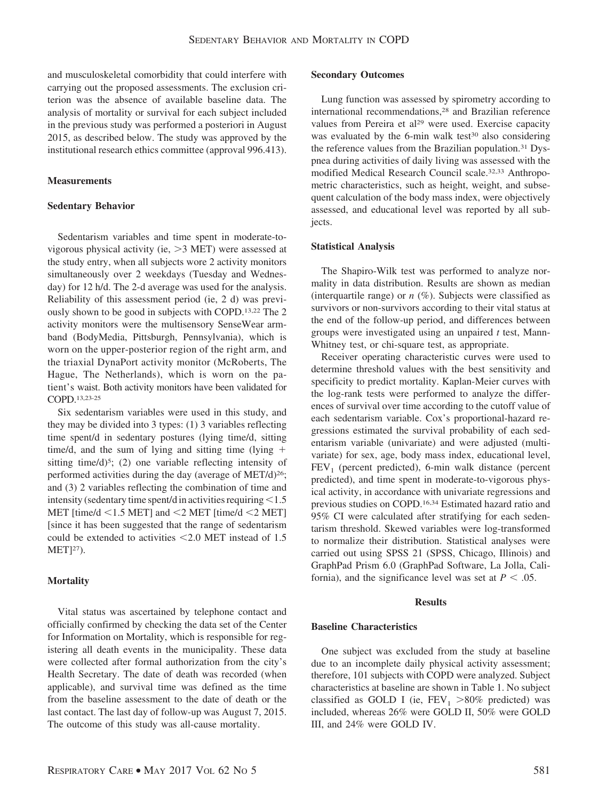and musculoskeletal comorbidity that could interfere with carrying out the proposed assessments. The exclusion criterion was the absence of available baseline data. The analysis of mortality or survival for each subject included in the previous study was performed a posteriori in August 2015, as described below. The study was approved by the institutional research ethics committee (approval 996.413).

## **Measurements**

## **Sedentary Behavior**

Sedentarism variables and time spent in moderate-tovigorous physical activity (ie,  $>3$  MET) were assessed at the study entry, when all subjects wore 2 activity monitors simultaneously over 2 weekdays (Tuesday and Wednesday) for 12 h/d. The 2-d average was used for the analysis. Reliability of this assessment period (ie, 2 d) was previously shown to be good in subjects with COPD.13,22 The 2 activity monitors were the multisensory SenseWear armband (BodyMedia, Pittsburgh, Pennsylvania), which is worn on the upper-posterior region of the right arm, and the triaxial DynaPort activity monitor (McRoberts, The Hague, The Netherlands), which is worn on the patient's waist. Both activity monitors have been validated for COPD.13,23-25

Six sedentarism variables were used in this study, and they may be divided into 3 types: (1) 3 variables reflecting time spent/d in sedentary postures (lying time/d, sitting time/d, and the sum of lying and sitting time (lying  $+$ sitting time/d)<sup>5</sup>; (2) one variable reflecting intensity of performed activities during the day (average of MET/d)<sup>26</sup>; and (3) 2 variables reflecting the combination of time and intensity (sedentary time spent/d in activities requiring  $<$  1.5 MET [time/d  $\leq$ 1.5 MET] and  $\leq$ 2 MET [time/d  $\leq$ 2 MET] [since it has been suggested that the range of sedentarism could be extended to activities  $\leq 2.0$  MET instead of 1.5 MET]27).

## **Mortality**

Vital status was ascertained by telephone contact and officially confirmed by checking the data set of the Center for Information on Mortality, which is responsible for registering all death events in the municipality. These data were collected after formal authorization from the city's Health Secretary. The date of death was recorded (when applicable), and survival time was defined as the time from the baseline assessment to the date of death or the last contact. The last day of follow-up was August 7, 2015. The outcome of this study was all-cause mortality.

## **Secondary Outcomes**

Lung function was assessed by spirometry according to international recommendations,28 and Brazilian reference values from Pereira et al<sup>29</sup> were used. Exercise capacity was evaluated by the 6-min walk test $30$  also considering the reference values from the Brazilian population.<sup>31</sup> Dyspnea during activities of daily living was assessed with the modified Medical Research Council scale.32,33 Anthropometric characteristics, such as height, weight, and subsequent calculation of the body mass index, were objectively assessed, and educational level was reported by all subjects.

## **Statistical Analysis**

The Shapiro-Wilk test was performed to analyze normality in data distribution. Results are shown as median (interquartile range) or  $n$  (%). Subjects were classified as survivors or non-survivors according to their vital status at the end of the follow-up period, and differences between groups were investigated using an unpaired *t* test, Mann-Whitney test, or chi-square test, as appropriate.

Receiver operating characteristic curves were used to determine threshold values with the best sensitivity and specificity to predict mortality. Kaplan-Meier curves with the log-rank tests were performed to analyze the differences of survival over time according to the cutoff value of each sedentarism variable. Cox's proportional-hazard regressions estimated the survival probability of each sedentarism variable (univariate) and were adjusted (multivariate) for sex, age, body mass index, educational level,  $FEV<sub>1</sub>$  (percent predicted), 6-min walk distance (percent predicted), and time spent in moderate-to-vigorous physical activity, in accordance with univariate regressions and previous studies on COPD.16,34 Estimated hazard ratio and 95% CI were calculated after stratifying for each sedentarism threshold. Skewed variables were log-transformed to normalize their distribution. Statistical analyses were carried out using SPSS 21 (SPSS, Chicago, Illinois) and GraphPad Prism 6.0 (GraphPad Software, La Jolla, California), and the significance level was set at  $P < .05$ .

### **Results**

## **Baseline Characteristics**

One subject was excluded from the study at baseline due to an incomplete daily physical activity assessment; therefore, 101 subjects with COPD were analyzed. Subject characteristics at baseline are shown in Table 1. No subject classified as GOLD I (ie,  $FEV_1 > 80\%$  predicted) was included, whereas 26% were GOLD II, 50% were GOLD III, and 24% were GOLD IV.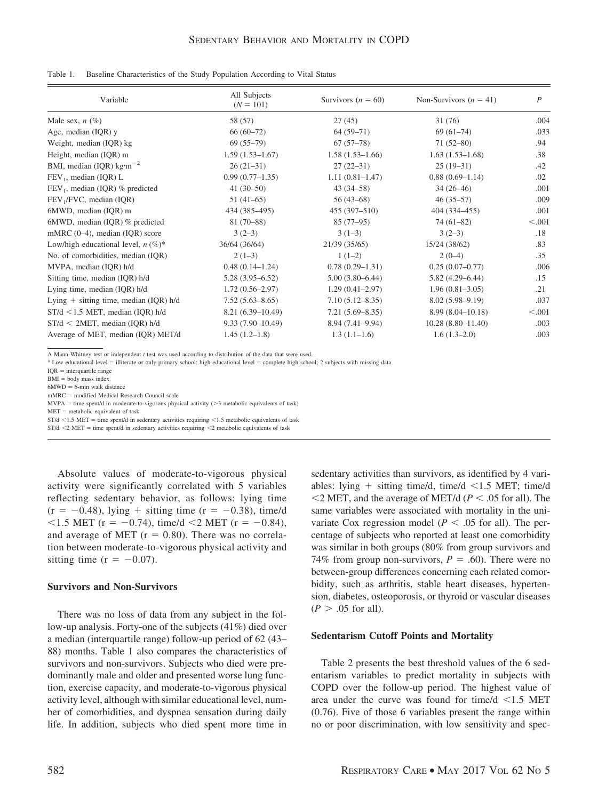| Variable                                   | All Subjects<br>$(N = 101)$ | Survivors $(n = 60)$ | Non-Survivors $(n = 41)$ | $\boldsymbol{P}$ |
|--------------------------------------------|-----------------------------|----------------------|--------------------------|------------------|
| Male sex, $n$ (%)                          | 58 (57)                     | 27(45)               | 31 (76)                  | .004             |
| Age, median (IQR) y                        | $66(60-72)$                 | $64(59-71)$          | $69(61-74)$              | .033             |
| Weight, median (IQR) kg                    | $69(55-79)$                 | $67(57-78)$          | $71(52-80)$              | .94              |
| Height, median (IQR) m                     | $1.59(1.53 - 1.67)$         | $1.58(1.53 - 1.66)$  | $1.63(1.53-1.68)$        | .38              |
| BMI, median (IQR) $kg \cdot m^{-2}$        | $26(21-31)$                 | $27(22-31)$          | $25(19-31)$              | .42              |
| $FEV_1$ , median (IQR) L                   | $0.99(0.77-1.35)$           | $1.11(0.81 - 1.47)$  | $0.88(0.69-1.14)$        | .02              |
| $FEV1$ , median (IQR) % predicted          | $41(30-50)$                 | $43(34 - 58)$        | $34(26-46)$              | .001             |
| FEV <sub>1</sub> /FVC, median (IQR)        | $51(41-65)$                 | $56(43-68)$          | $46(35-57)$              | .009             |
| 6MWD, median (IQR) m                       | 434 (385–495)               | $455(397 - 510)$     | 404 (334–455)            | .001             |
| 6MWD, median (IQR) % predicted             | $81(70-88)$                 | $85(77-95)$          | $74(61-82)$              | < 0.001          |
| mMRC $(0-4)$ , median $(IQR)$ score        | $3(2-3)$                    | $3(1-3)$             | $3(2-3)$                 | .18              |
| Low/high educational level, $n \, (\%)^*$  | 36/64 (36/64)               | 21/39 (35/65)        | 15/24 (38/62)            | .83              |
| No. of comorbidities, median (IQR)         | $2(1-3)$                    | $1(1-2)$             | $2(0-4)$                 | .35              |
| MVPA, median (IQR) h/d                     | $0.48(0.14 - 1.24)$         | $0.78(0.29 - 1.31)$  | $0.25(0.07-0.77)$        | .006             |
| Sitting time, median (IQR) h/d             | $5.28(3.95 - 6.52)$         | $5.00(3.80 - 6.44)$  | $5.82(4.29 - 6.44)$      | .15              |
| Lying time, median (IQR) h/d               | $1.72(0.56-2.97)$           | $1.29(0.41 - 2.97)$  | $1.96(0.81 - 3.05)$      | .21              |
| Lying $+$ sitting time, median (IQR) $h/d$ | $7.52(5.63 - 8.65)$         | $7.10(5.12 - 8.35)$  | $8.02(5.98 - 9.19)$      | .037             |
| $ST/d < 1.5$ MET, median (IQR) h/d         | $8.21(6.39-10.49)$          | $7.21(5.69 - 8.35)$  | $8.99(8.04 - 10.18)$     | < .001           |
| $ST/d < 2MET$ , median (IOR) h/d           | $9.33(7.90-10.49)$          | $8.94(7.41 - 9.94)$  | $10.28(8.80 - 11.40)$    | .003             |
| Average of MET, median (IQR) MET/d         | $1.45(1.2-1.8)$             | $1.3(1.1-1.6)$       | $1.6(1.3-2.0)$           | .003             |

A Mann-Whitney test or independent *t* test was used according to distribution of the data that were used.

\* Low educational level illiterate or only primary school; high educational level complete high school; 2 subjects with missing data.

 $IQR = interquartile range$ 

 $BMI = body$  mass index

 $6MWD = 6$ -min walk distance

 $mMRC$  = modified Medical Research Council scale

 $MVPA = time spent/d in moderate-to-vigorous physical activity (>3 metabolic equivalents of task)$ 

 $MET = metabolic equivalent of task$ 

 $ST/d < 1.5$  MET = time spent/d in sedentary activities requiring  $< 1.5$  metabolic equivalents of task

 $ST/d < 2$  MET = time spent/d in sedentary activities requiring  $\leq 2$  metabolic equivalents of task

Absolute values of moderate-to-vigorous physical activity were significantly correlated with 5 variables reflecting sedentary behavior, as follows: lying time  $(r = -0.48)$ , lying + sitting time  $(r = -0.38)$ , time/d  $<$ 1.5 MET (r = -0.74), time/d  $<$ 2 MET (r = -0.84), and average of MET ( $r = 0.80$ ). There was no correlation between moderate-to-vigorous physical activity and sitting time ( $r = -0.07$ ).

## **Survivors and Non-Survivors**

There was no loss of data from any subject in the follow-up analysis. Forty-one of the subjects (41%) died over a median (interquartile range) follow-up period of 62 (43– 88) months. Table 1 also compares the characteristics of survivors and non-survivors. Subjects who died were predominantly male and older and presented worse lung function, exercise capacity, and moderate-to-vigorous physical activity level, although with similar educational level, number of comorbidities, and dyspnea sensation during daily life. In addition, subjects who died spent more time in

sedentary activities than survivors, as identified by 4 variables: lying  $+$  sitting time/d, time/d  $\leq$ 1.5 MET; time/d  $\leq$  2 MET, and the average of MET/d ( $P \leq .05$  for all). The same variables were associated with mortality in the univariate Cox regression model ( $P < .05$  for all). The percentage of subjects who reported at least one comorbidity was similar in both groups (80% from group survivors and 74% from group non-survivors,  $P = .60$ ). There were no between-group differences concerning each related comorbidity, such as arthritis, stable heart diseases, hypertension, diabetes, osteoporosis, or thyroid or vascular diseases  $(P > .05$  for all).

# **Sedentarism Cutoff Points and Mortality**

Table 2 presents the best threshold values of the 6 sedentarism variables to predict mortality in subjects with COPD over the follow-up period. The highest value of area under the curve was found for time/d  $\leq 1.5$  MET (0.76). Five of those 6 variables present the range within no or poor discrimination, with low sensitivity and spec-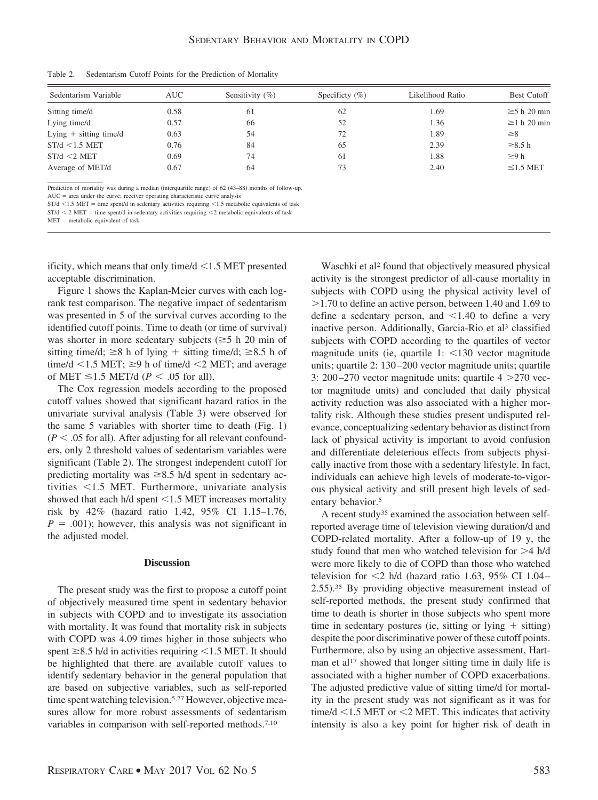| Sedentarism Variable     | <b>AUC</b> | Sensitivity $(\% )$ | Specificty $(\% )$ | Likelihood Ratio | <b>Best Cutoff</b> |
|--------------------------|------------|---------------------|--------------------|------------------|--------------------|
| Sitting time/d           | 0.58       | 61                  | 62                 | 1.69             | $\geq$ 5 h 20 min  |
| Lying time/d             | 0.57       | 66                  | 52                 | 1.36             | $\geq$ 1 h 20 min  |
| Lying $+$ sitting time/d | 0.63       | 54                  | 72                 | 1.89             | $\geq 8$           |
| $ST/d < 1.5$ MET         | 0.76       | 84                  | 65                 | 2.39             | $\geq 8.5$ h       |
| $ST/d < 2$ MET           | 0.69       | 74                  | 61                 | 1.88             | $\geq 9 h$         |
| Average of MET/d         | 0.67       | 64                  | 73                 | 2.40             | $\leq$ 1.5 MET     |

Table 2. Sedentarism Cutoff Points for the Prediction of Mortality

Prediction of mortality was during a median (interquartile range) of 62 (43–88) months of follow-up.

 $AUC =$  area under the curve; receiver operating characteristic curve analysis

 $ST/d < 1.5$  MET = time spent/d in sedentary activities requiring  $< 1.5$  metabolic equivalents of task

 $ST/d < 2$  MET = time spent/d in sedentary activities requiring  $\leq 2$  metabolic equivalents of task

 $MET = metabolic equivalent of task$ 

ificity, which means that only time/ $d < 1.5$  MET presented acceptable discrimination.

Figure 1 shows the Kaplan-Meier curves with each logrank test comparison. The negative impact of sedentarism was presented in 5 of the survival curves according to the identified cutoff points. Time to death (or time of survival) was shorter in more sedentary subjects ( $\geq$ 5 h 20 min of sitting time/d;  $\geq 8$  h of lying + sitting time/d;  $\geq 8.5$  h of time/d  $\leq$  1.5 MET;  $\geq$ 9 h of time/d  $\leq$ 2 MET; and average of MET  $\leq$  1.5 MET/d (*P* < .05 for all).

The Cox regression models according to the proposed cutoff values showed that significant hazard ratios in the univariate survival analysis (Table 3) were observed for the same 5 variables with shorter time to death (Fig. 1)  $(P < .05$  for all). After adjusting for all relevant confounders, only 2 threshold values of sedentarism variables were significant (Table 2). The strongest independent cutoff for predicting mortality was  $\geq 8.5$  h/d spent in sedentary activities -1.5 MET. Furthermore, univariate analysis showed that each  $h/d$  spent  $\leq 1.5$  MET increases mortality risk by 42% (hazard ratio 1.42, 95% CI 1.15–1.76,  $P = .001$ ; however, this analysis was not significant in the adjusted model.

### **Discussion**

The present study was the first to propose a cutoff point of objectively measured time spent in sedentary behavior in subjects with COPD and to investigate its association with mortality. It was found that mortality risk in subjects with COPD was 4.09 times higher in those subjects who spent  $\geq$ 8.5 h/d in activities requiring  $\leq$ 1.5 MET. It should be highlighted that there are available cutoff values to identify sedentary behavior in the general population that are based on subjective variables, such as self-reported time spent watching television.<sup>5,27</sup> However, objective measures allow for more robust assessments of sedentarism variables in comparison with self-reported methods.7,10

Waschki et al<sup>2</sup> found that objectively measured physical activity is the strongest predictor of all-cause mortality in subjects with COPD using the physical activity level of 1.70 to define an active person, between 1.40 and 1.69 to define a sedentary person, and  $\leq 1.40$  to define a very inactive person. Additionally, Garcia-Rio et al<sup>3</sup> classified subjects with COPD according to the quartiles of vector magnitude units (ie, quartile  $1: \leq 130$  vector magnitude units; quartile 2: 130 –200 vector magnitude units; quartile 3: 200-270 vector magnitude units; quartile  $4 > 270$  vector magnitude units) and concluded that daily physical activity reduction was also associated with a higher mortality risk. Although these studies present undisputed relevance, conceptualizing sedentary behavior as distinct from lack of physical activity is important to avoid confusion and differentiate deleterious effects from subjects physically inactive from those with a sedentary lifestyle. In fact, individuals can achieve high levels of moderate-to-vigorous physical activity and still present high levels of sedentary behavior.<sup>5</sup>

A recent study35 examined the association between selfreported average time of television viewing duration/d and COPD-related mortality. After a follow-up of 19 y, the study found that men who watched television for  $>4$  h/d were more likely to die of COPD than those who watched television for  $\leq$ 2 h/d (hazard ratio 1.63, 95% CI 1.04– 2.55).35 By providing objective measurement instead of self-reported methods, the present study confirmed that time to death is shorter in those subjects who spent more time in sedentary postures (ie, sitting or lying  $+$  sitting) despite the poor discriminative power of these cutoff points. Furthermore, also by using an objective assessment, Hartman et al<sup>17</sup> showed that longer sitting time in daily life is associated with a higher number of COPD exacerbations. The adjusted predictive value of sitting time/d for mortality in the present study was not significant as it was for time/ $d$  <1.5 MET or <2 MET. This indicates that activity intensity is also a key point for higher risk of death in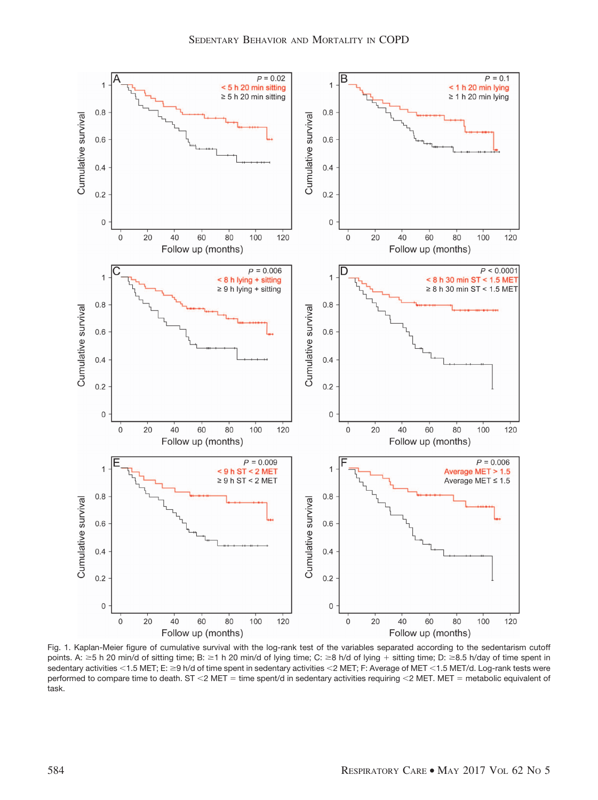

Fig. 1. Kaplan-Meier figure of cumulative survival with the log-rank test of the variables separated according to the sedentarism cutoff points. A:  $\geq$  5 h 20 min/d of sitting time; B:  $\geq$  1 h 20 min/d of lying time; C:  $\geq$  8 h/d of lying + sitting time; D:  $\geq$  8.5 h/day of time spent in sedentary activities <1.5 MET; E: ≥9 h/d of time spent in sedentary activities <2 MET; F: Average of MET <1.5 MET/d. Log-rank tests were performed to compare time to death. ST <2 MET = time spent/d in sedentary activities requiring <2 MET. MET = metabolic equivalent of task.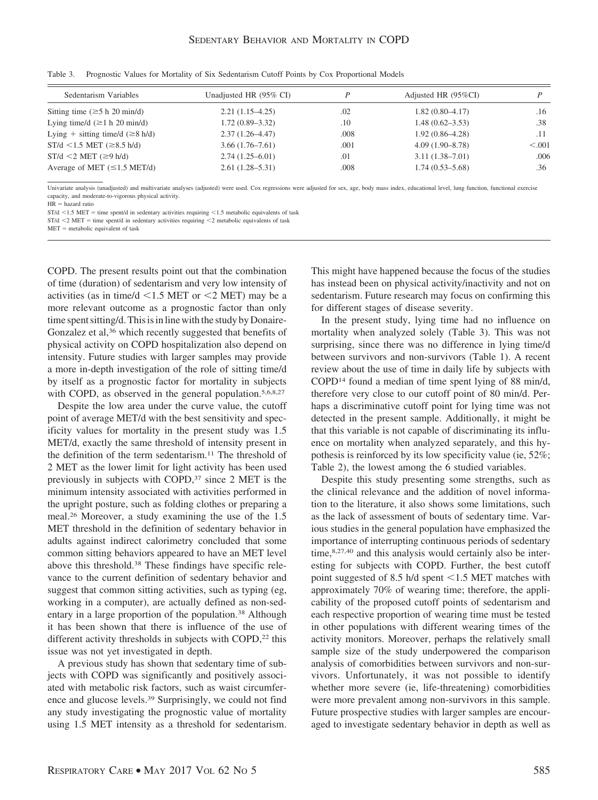| Sedentarism Variables                               | Unadjusted HR (95% CI) | D    | Adjusted HR (95%CI) |         |
|-----------------------------------------------------|------------------------|------|---------------------|---------|
| Sitting time $(\geq 5 \text{ h } 20 \text{ min/d})$ | $2.21(1.15-4.25)$      | .02  | $1.82(0.80-4.17)$   | .16     |
| Lying time/d $(\geq 1 h 20 min/d)$                  | $1.72(0.89 - 3.32)$    | .10  | $1.48(0.62 - 3.53)$ | .38     |
| Lying + sitting time/d $(\geq 8 \text{ h/d})$       | $2.37(1.26 - 4.47)$    | .008 | $1.92(0.86-4.28)$   | .11     |
| $ST/d < 1.5$ MET ( $\geq 8.5$ h/d)                  | $3.66(1.76 - 7.61)$    | .001 | $4.09(1.90 - 8.78)$ | < 0.001 |
| $ST/d \leq 2$ MET ( $\geq 9$ h/d)                   | $2.74(1.25 - 6.01)$    | .01  | $3.11(1.38 - 7.01)$ | .006    |
| Average of MET $(\leq 1.5 \text{ MET/d})$           | $2.61(1.28 - 5.31)$    | .008 | $1.74(0.53 - 5.68)$ | .36     |

Table 3. Prognostic Values for Mortality of Six Sedentarism Cutoff Points by Cox Proportional Models

Univariate analysis (unadjusted) and multivariate analyses (adjusted) were used. Cox regressions were adjusted for sex, age, body mass index, educational level, lung function, functional exercise capacity, and moderate-to-vigorous physical activity.

 $HR =$  hazard ratio

 $ST/d < 1.5$  MET = time spent/d in sedentary activities requiring  $< 1.5$  metabolic equivalents of task

 $ST/d < 2$  MET = time spent/d in sedentary activities requiring  $< 2$  metabolic equivalents of task  $MET = metabolic equivalent of task$ 

COPD. The present results point out that the combination of time (duration) of sedentarism and very low intensity of activities (as in time/ $d \le 1.5$  MET or  $\le 2$  MET) may be a more relevant outcome as a prognostic factor than only time spent sitting/d. This is in line with the study by Donaire-Gonzalez et al,<sup>36</sup> which recently suggested that benefits of physical activity on COPD hospitalization also depend on intensity. Future studies with larger samples may provide a more in-depth investigation of the role of sitting time/d by itself as a prognostic factor for mortality in subjects with COPD, as observed in the general population.<sup>5,6,8,27</sup>

Despite the low area under the curve value, the cutoff point of average MET/d with the best sensitivity and specificity values for mortality in the present study was 1.5 MET/d, exactly the same threshold of intensity present in the definition of the term sedentarism.11 The threshold of 2 MET as the lower limit for light activity has been used previously in subjects with COPD,<sup>37</sup> since 2 MET is the minimum intensity associated with activities performed in the upright posture, such as folding clothes or preparing a meal.26 Moreover, a study examining the use of the 1.5 MET threshold in the definition of sedentary behavior in adults against indirect calorimetry concluded that some common sitting behaviors appeared to have an MET level above this threshold.38 These findings have specific relevance to the current definition of sedentary behavior and suggest that common sitting activities, such as typing (eg, working in a computer), are actually defined as non-sedentary in a large proportion of the population.38 Although it has been shown that there is influence of the use of different activity thresholds in subjects with COPD,<sup>22</sup> this issue was not yet investigated in depth.

A previous study has shown that sedentary time of subjects with COPD was significantly and positively associated with metabolic risk factors, such as waist circumference and glucose levels.39 Surprisingly, we could not find any study investigating the prognostic value of mortality using 1.5 MET intensity as a threshold for sedentarism.

This might have happened because the focus of the studies has instead been on physical activity/inactivity and not on sedentarism. Future research may focus on confirming this for different stages of disease severity.

In the present study, lying time had no influence on mortality when analyzed solely (Table 3). This was not surprising, since there was no difference in lying time/d between survivors and non-survivors (Table 1). A recent review about the use of time in daily life by subjects with COPD14 found a median of time spent lying of 88 min/d, therefore very close to our cutoff point of 80 min/d. Perhaps a discriminative cutoff point for lying time was not detected in the present sample. Additionally, it might be that this variable is not capable of discriminating its influence on mortality when analyzed separately, and this hypothesis is reinforced by its low specificity value (ie, 52%; Table 2), the lowest among the 6 studied variables.

Despite this study presenting some strengths, such as the clinical relevance and the addition of novel information to the literature, it also shows some limitations, such as the lack of assessment of bouts of sedentary time. Various studies in the general population have emphasized the importance of interrupting continuous periods of sedentary time,  $8,27,40$  and this analysis would certainly also be interesting for subjects with COPD. Further, the best cutoff point suggested of 8.5 h/d spent  $\leq$ 1.5 MET matches with approximately 70% of wearing time; therefore, the applicability of the proposed cutoff points of sedentarism and each respective proportion of wearing time must be tested in other populations with different wearing times of the activity monitors. Moreover, perhaps the relatively small sample size of the study underpowered the comparison analysis of comorbidities between survivors and non-survivors. Unfortunately, it was not possible to identify whether more severe (ie, life-threatening) comorbidities were more prevalent among non-survivors in this sample. Future prospective studies with larger samples are encouraged to investigate sedentary behavior in depth as well as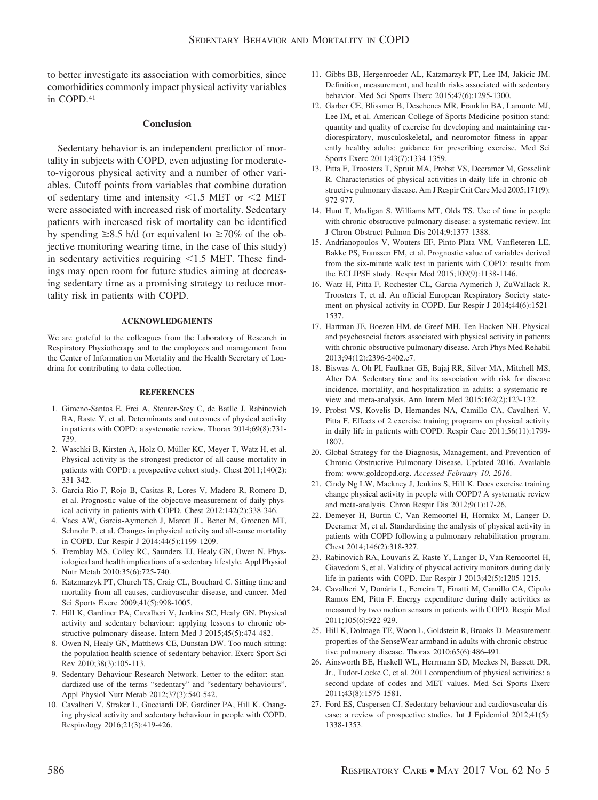to better investigate its association with comorbities, since comorbidities commonly impact physical activity variables in COPD.41

## **Conclusion**

Sedentary behavior is an independent predictor of mortality in subjects with COPD, even adjusting for moderateto-vigorous physical activity and a number of other variables. Cutoff points from variables that combine duration of sedentary time and intensity  $\leq 1.5$  MET or  $\leq 2$  MET were associated with increased risk of mortality. Sedentary patients with increased risk of mortality can be identified by spending  $\geq 8.5$  h/d (or equivalent to  $\geq 70\%$  of the objective monitoring wearing time, in the case of this study) in sedentary activities requiring  $\leq 1.5$  MET. These findings may open room for future studies aiming at decreasing sedentary time as a promising strategy to reduce mortality risk in patients with COPD.

#### **ACKNOWLEDGMENTS**

We are grateful to the colleagues from the Laboratory of Research in Respiratory Physiotherapy and to the employees and management from the Center of Information on Mortality and the Health Secretary of Londrina for contributing to data collection.

#### **REFERENCES**

- 1. Gimeno-Santos E, Frei A, Steurer-Stey C, de Batlle J, Rabinovich RA, Raste Y, et al. Determinants and outcomes of physical activity in patients with COPD: a systematic review. Thorax 2014;69(8):731- 739.
- 2. Waschki B, Kirsten A, Holz O, Müller KC, Meyer T, Watz H, et al. Physical activity is the strongest predictor of all-cause mortality in patients with COPD: a prospective cohort study. Chest 2011;140(2): 331-342.
- 3. Garcia-Rio F, Rojo B, Casitas R, Lores V, Madero R, Romero D, et al. Prognostic value of the objective measurement of daily physical activity in patients with COPD. Chest 2012;142(2):338-346.
- 4. Vaes AW, Garcia-Aymerich J, Marott JL, Benet M, Groenen MT, Schnohr P, et al. Changes in physical activity and all-cause mortality in COPD. Eur Respir J 2014;44(5):1199-1209.
- 5. Tremblay MS, Colley RC, Saunders TJ, Healy GN, Owen N. Physiological and health implications of a sedentary lifestyle. Appl Physiol Nutr Metab 2010;35(6):725-740.
- 6. Katzmarzyk PT, Church TS, Craig CL, Bouchard C. Sitting time and mortality from all causes, cardiovascular disease, and cancer. Med Sci Sports Exerc 2009;41(5):998-1005.
- 7. Hill K, Gardiner PA, Cavalheri V, Jenkins SC, Healy GN. Physical activity and sedentary behaviour: applying lessons to chronic obstructive pulmonary disease. Intern Med J 2015;45(5):474-482.
- 8. Owen N, Healy GN, Matthews CE, Dunstan DW. Too much sitting: the population health science of sedentary behavior. Exerc Sport Sci Rev 2010;38(3):105-113.
- 9. Sedentary Behaviour Research Network. Letter to the editor: standardized use of the terms "sedentary" and "sedentary behaviours". Appl Physiol Nutr Metab 2012;37(3):540-542.
- 10. Cavalheri V, Straker L, Gucciardi DF, Gardiner PA, Hill K. Changing physical activity and sedentary behaviour in people with COPD. Respirology 2016;21(3):419-426.
- 11. Gibbs BB, Hergenroeder AL, Katzmarzyk PT, Lee IM, Jakicic JM. Definition, measurement, and health risks associated with sedentary behavior. Med Sci Sports Exerc 2015;47(6):1295-1300.
- 12. Garber CE, Blissmer B, Deschenes MR, Franklin BA, Lamonte MJ, Lee IM, et al. American College of Sports Medicine position stand: quantity and quality of exercise for developing and maintaining cardiorespiratory, musculoskeletal, and neuromotor fitness in apparently healthy adults: guidance for prescribing exercise. Med Sci Sports Exerc 2011;43(7):1334-1359.
- 13. Pitta F, Troosters T, Spruit MA, Probst VS, Decramer M, Gosselink R. Characteristics of physical activities in daily life in chronic obstructive pulmonary disease. Am J Respir Crit Care Med 2005;171(9): 972-977.
- 14. Hunt T, Madigan S, Williams MT, Olds TS. Use of time in people with chronic obstructive pulmonary disease: a systematic review. Int J Chron Obstruct Pulmon Dis 2014;9:1377-1388.
- 15. Andrianopoulos V, Wouters EF, Pinto-Plata VM, Vanfleteren LE, Bakke PS, Franssen FM, et al. Prognostic value of variables derived from the six-minute walk test in patients with COPD: results from the ECLIPSE study. Respir Med 2015;109(9):1138-1146.
- 16. Watz H, Pitta F, Rochester CL, Garcia-Aymerich J, ZuWallack R, Troosters T, et al. An official European Respiratory Society statement on physical activity in COPD. Eur Respir J 2014;44(6):1521- 1537.
- 17. Hartman JE, Boezen HM, de Greef MH, Ten Hacken NH. Physical and psychosocial factors associated with physical activity in patients with chronic obstructive pulmonary disease. Arch Phys Med Rehabil 2013;94(12):2396-2402.e7.
- 18. Biswas A, Oh PI, Faulkner GE, Bajaj RR, Silver MA, Mitchell MS, Alter DA. Sedentary time and its association with risk for disease incidence, mortality, and hospitalization in adults: a systematic review and meta-analysis. Ann Intern Med 2015;162(2):123-132.
- 19. Probst VS, Kovelis D, Hernandes NA, Camillo CA, Cavalheri V, Pitta F. Effects of 2 exercise training programs on physical activity in daily life in patients with COPD. Respir Care 2011;56(11):1799- 1807.
- 20. Global Strategy for the Diagnosis, Management, and Prevention of Chronic Obstructive Pulmonary Disease. Updated 2016. Available from: www.goldcopd.org. *Accessed February 10, 2016*.
- 21. Cindy Ng LW, Mackney J, Jenkins S, Hill K. Does exercise training change physical activity in people with COPD? A systematic review and meta-analysis. Chron Respir Dis 2012;9(1):17-26.
- 22. Demeyer H, Burtin C, Van Remoortel H, Hornikx M, Langer D, Decramer M, et al. Standardizing the analysis of physical activity in patients with COPD following a pulmonary rehabilitation program. Chest 2014;146(2):318-327.
- 23. Rabinovich RA, Louvaris Z, Raste Y, Langer D, Van Remoortel H, Giavedoni S, et al. Validity of physical activity monitors during daily life in patients with COPD. Eur Respir J 2013;42(5):1205-1215.
- 24. Cavalheri V, Donária L, Ferreira T, Finatti M, Camillo CA, Cipulo Ramos EM, Pitta F. Energy expenditure during daily activities as measured by two motion sensors in patients with COPD. Respir Med 2011;105(6):922-929.
- 25. Hill K, Dolmage TE, Woon L, Goldstein R, Brooks D. Measurement properties of the SenseWear armband in adults with chronic obstructive pulmonary disease. Thorax 2010;65(6):486-491.
- 26. Ainsworth BE, Haskell WL, Herrmann SD, Meckes N, Bassett DR, Jr., Tudor-Locke C, et al. 2011 compendium of physical activities: a second update of codes and MET values. Med Sci Sports Exerc 2011;43(8):1575-1581.
- 27. Ford ES, Caspersen CJ. Sedentary behaviour and cardiovascular disease: a review of prospective studies. Int J Epidemiol 2012;41(5): 1338-1353.